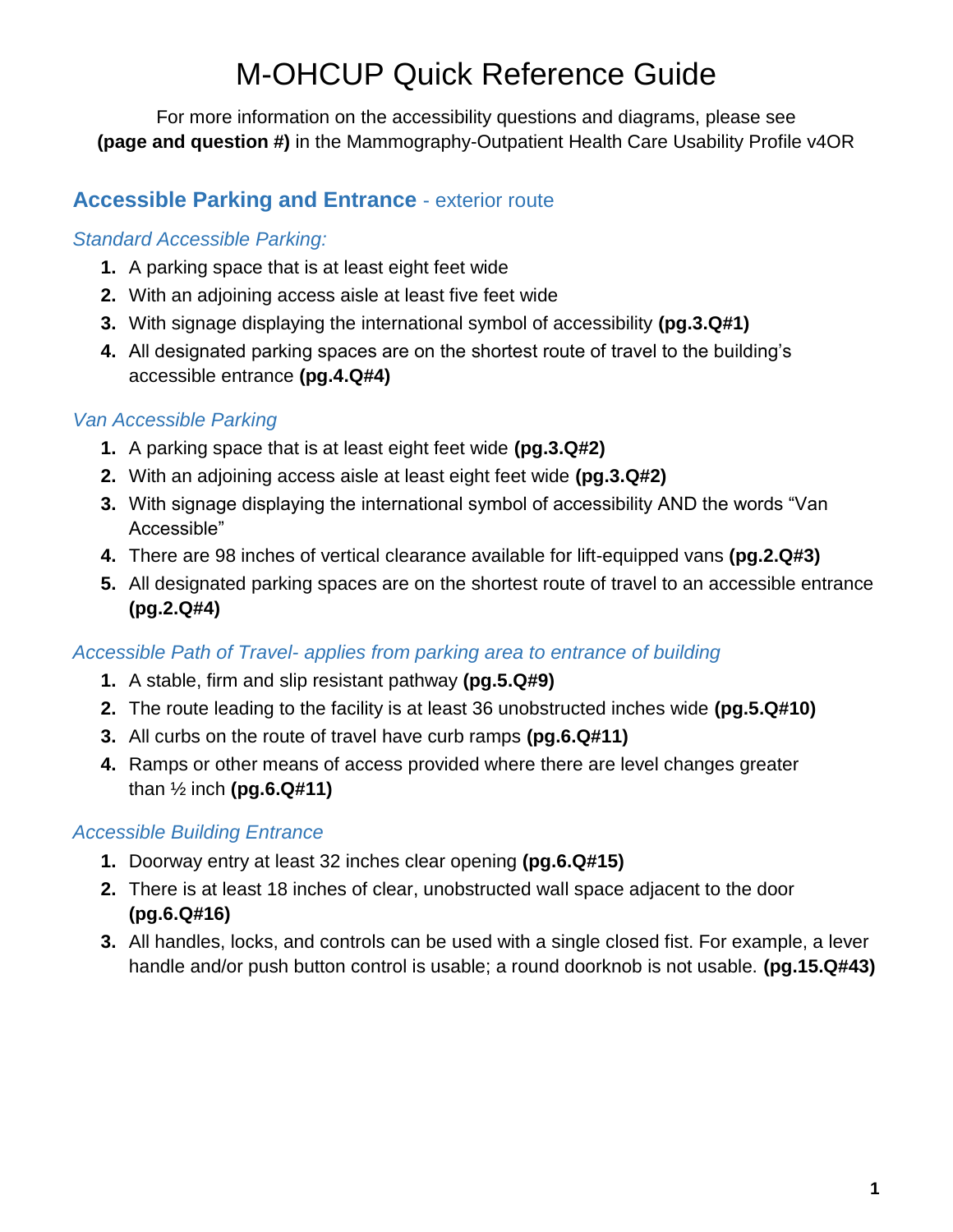For more information on the accessibility questions and diagrams, please see **(page and question #)** in the Mammography-Outpatient Health Care Usability Profile v4OR

# **Accessible Parking and Entrance** - exterior route

### *Standard Accessible Parking:*

- **1.** A parking space that is at least eight feet wide
- **2.** With an adjoining access aisle at least five feet wide
- **3.** With signage displaying the international symbol of accessibility **(pg.3.Q#1)**
- **4.** All designated parking spaces are on the shortest route of travel to the building's accessible entrance **(pg.4.Q#4)**

## *Van Accessible Parking*

- **1.** A parking space that is at least eight feet wide **(pg.3.Q#2)**
- **2.** With an adjoining access aisle at least eight feet wide **(pg.3.Q#2)**
- **3.** With signage displaying the international symbol of accessibility AND the words "Van Accessible"
- **4.** There are 98 inches of vertical clearance available for lift-equipped vans **(pg.2.Q#3)**
- **5.** All designated parking spaces are on the shortest route of travel to an accessible entrance **(pg.2.Q#4)**

## *Accessible Path of Travel- applies from parking area to entrance of building*

- **1.** A stable, firm and slip resistant pathway **(pg.5.Q#9)**
- **2.** The route leading to the facility is at least 36 unobstructed inches wide **(pg.5.Q#10)**
- **3.** All curbs on the route of travel have curb ramps **(pg.6.Q#11)**
- **4.** Ramps or other means of access provided where there are level changes greater than ½ inch **(pg.6.Q#11)**

## *Accessible Building Entrance*

- **1.** Doorway entry at least 32 inches clear opening **(pg.6.Q#15)**
- **2.** There is at least 18 inches of clear, unobstructed wall space adjacent to the door **(pg.6.Q#16)**
- **3.** All handles, locks, and controls can be used with a single closed fist. For example, a lever handle and/or push button control is usable; a round doorknob is not usable. **(pg.15.Q#43)**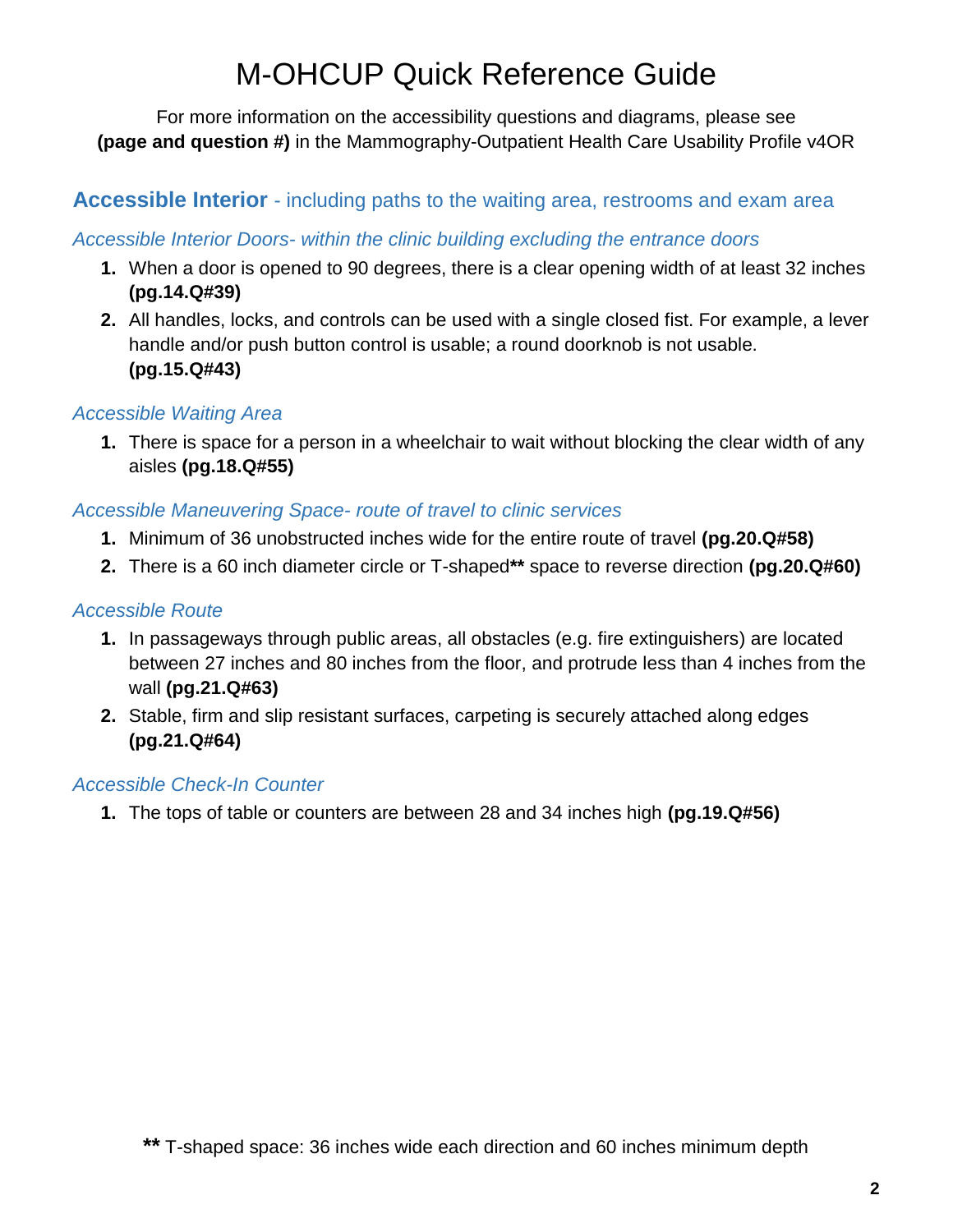For more information on the accessibility questions and diagrams, please see **(page and question #)** in the Mammography-Outpatient Health Care Usability Profile v4OR

## **Accessible Interior** - including paths to the waiting area, restrooms and exam area

#### *Accessible Interior Doors- within the clinic building excluding the entrance doors*

- **1.** When a door is opened to 90 degrees, there is a clear opening width of at least 32 inches **(pg.14.Q#39)**
- **2.** All handles, locks, and controls can be used with a single closed fist. For example, a lever handle and/or push button control is usable; a round doorknob is not usable. **(pg.15.Q#43)**

#### *Accessible Waiting Area*

**1.** There is space for a person in a wheelchair to wait without blocking the clear width of any aisles **(pg.18.Q#55)**

#### *Accessible Maneuvering Space- route of travel to clinic services*

- **1.** Minimum of 36 unobstructed inches wide for the entire route of travel **(pg.20.Q#58)**
- **2.** There is a 60 inch diameter circle or T-shaped**\*\*** space to reverse direction **(pg.20.Q#60)**

### *Accessible Route*

- **1.** In passageways through public areas, all obstacles (e.g. fire extinguishers) are located between 27 inches and 80 inches from the floor, and protrude less than 4 inches from the wall **(pg.21.Q#63)**
- **2.** Stable, firm and slip resistant surfaces, carpeting is securely attached along edges **(pg.21.Q#64)**

#### *Accessible Check-In Counter*

**1.** The tops of table or counters are between 28 and 34 inches high **(pg.19.Q#56)**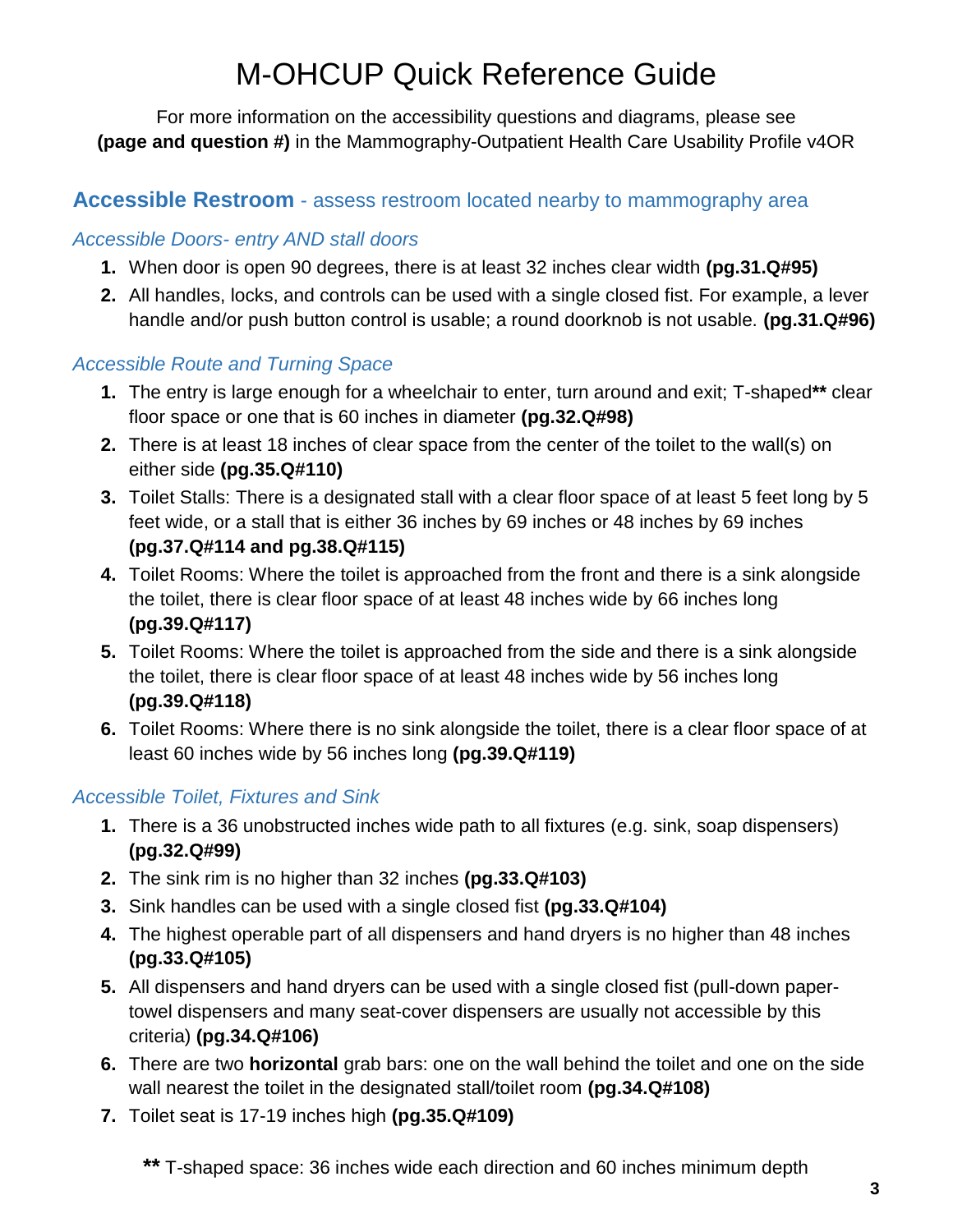For more information on the accessibility questions and diagrams, please see **(page and question #)** in the Mammography-Outpatient Health Care Usability Profile v4OR

# **Accessible Restroom** - assess restroom located nearby to mammography area

#### *Accessible Doors- entry AND stall doors*

- **1.** When door is open 90 degrees, there is at least 32 inches clear width **(pg.31.Q#95)**
- **2.** All handles, locks, and controls can be used with a single closed fist. For example, a lever handle and/or push button control is usable; a round doorknob is not usable. **(pg.31.Q#96)**

#### *Accessible Route and Turning Space*

- **1.** The entry is large enough for a wheelchair to enter, turn around and exit; T-shaped**\*\*** clear floor space or one that is 60 inches in diameter **(pg.32.Q#98)**
- **2.** There is at least 18 inches of clear space from the center of the toilet to the wall(s) on either side **(pg.35.Q#110)**
- **3.** Toilet Stalls: There is a designated stall with a clear floor space of at least 5 feet long by 5 feet wide, or a stall that is either 36 inches by 69 inches or 48 inches by 69 inches **(pg.37.Q#114 and pg.38.Q#115)**
- **4.** Toilet Rooms: Where the toilet is approached from the front and there is a sink alongside the toilet, there is clear floor space of at least 48 inches wide by 66 inches long **(pg.39.Q#117)**
- **5.** Toilet Rooms: Where the toilet is approached from the side and there is a sink alongside the toilet, there is clear floor space of at least 48 inches wide by 56 inches long **(pg.39.Q#118)**
- **6.** Toilet Rooms: Where there is no sink alongside the toilet, there is a clear floor space of at least 60 inches wide by 56 inches long **(pg.39.Q#119)**

#### *Accessible Toilet, Fixtures and Sink*

- **1.** There is a 36 unobstructed inches wide path to all fixtures (e.g. sink, soap dispensers) **(pg.32.Q#99)**
- **2.** The sink rim is no higher than 32 inches **(pg.33.Q#103)**
- **3.** Sink handles can be used with a single closed fist **(pg.33.Q#104)**
- **4.** The highest operable part of all dispensers and hand dryers is no higher than 48 inches **(pg.33.Q#105)**
- **5.** All dispensers and hand dryers can be used with a single closed fist (pull-down papertowel dispensers and many seat-cover dispensers are usually not accessible by this criteria) **(pg.34.Q#106)**
- **6.** There are two **horizontal** grab bars: one on the wall behind the toilet and one on the side wall nearest the toilet in the designated stall/toilet room **(pg.34.Q#108)**
- **7.** Toilet seat is 17-19 inches high **(pg.35.Q#109)**